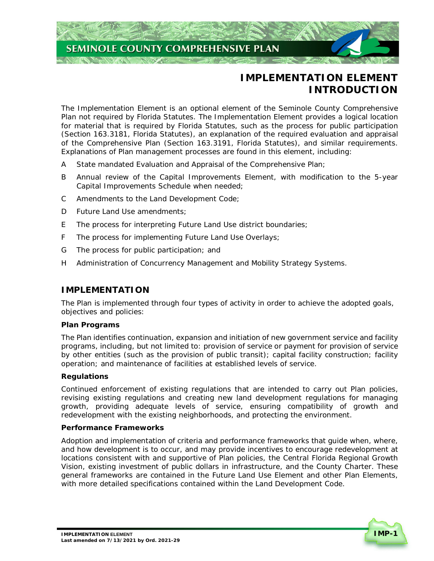# **SEMINOLE COUNTY COMPREHENSIVE PLAN**

# **IMPLEMENTATION ELEMENT INTRODUCTION**

 The Implementation Element is an optional element of the Seminole County Comprehensive Plan not required by Florida Statutes. The Implementation Element provides a logical location for material that is required by Florida Statutes, such as the process for public participation (Section 163.3181, Florida Statutes), an explanation of the required evaluation and appraisal of the Comprehensive Plan (Section 163.3191, Florida Statutes), and similar requirements. Explanations of Plan management processes are found in this element, including:

- A State mandated Evaluation and Appraisal of the Comprehensive Plan;
- B Annual review of the Capital Improvements Element, with modification to the 5-year Capital Improvements Schedule when needed;
- Amendments to the Land Development Code;  $\mathcal{C}$
- D Future Land Use amendments;
- E The process for interpreting Future Land Use district boundaries;
- F The process for implementing Future Land Use Overlays;
- G The process for public participation; and
- H Administration of Concurrency Management and Mobility Strategy Systems.

# **IMPLEMENTATION**

 The Plan is implemented through four types of activity in order to achieve the adopted goals, objectives and policies:

#### **Plan Programs**

 The Plan identifies continuation, expansion and initiation of new government service and facility programs, including, but not limited to: provision of service or payment for provision of service by other entities (such as the provision of public transit); capital facility construction; facility operation; and maintenance of facilities at established levels of service.

#### **Regulations**

 Continued enforcement of existing regulations that are intended to carry out Plan policies, revising existing regulations and creating new land development regulations for managing growth, providing adequate levels of service, ensuring compatibility of growth and redevelopment with the existing neighborhoods, and protecting the environment.

#### **Performance Frameworks**

 Adoption and implementation of criteria and performance frameworks that guide when, where, and how development is to occur, and may provide incentives to encourage redevelopment at locations consistent with and supportive of Plan policies, the Central Florida Regional Growth Vision, existing investment of public dollars in infrastructure, and the County Charter. These general frameworks are contained in the Future Land Use Element and other Plan Elements, with more detailed specifications contained within the Land Development Code.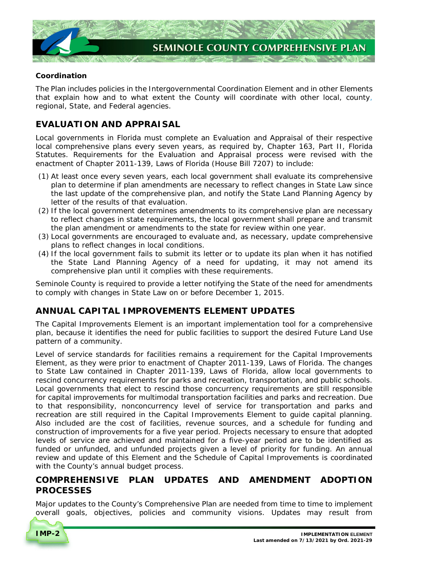

## **Coordination**

 The Plan includes policies in the Intergovernmental Coordination Element and in other Elements that explain how and to what extent the County will coordinate with other local, county, regional, State, and Federal agencies.

# **EVALUATION AND APPRAISAL**

 Local governments in Florida must complete an Evaluation and Appraisal of their respective local comprehensive plans every seven years, as required by, Chapter 163, Part II, Florida Statutes. Requirements for the Evaluation and Appraisal process were revised with the enactment of Chapter 2011-139, Laws of Florida (House Bill 7207) to include:

- (1) At least once every seven years, each local government shall evaluate its comprehensive plan to determine if plan amendments are necessary to reflect changes in State Law since the last update of the comprehensive plan, and notify the State Land Planning Agency by letter of the results of that evaluation.
- (2) If the local government determines amendments to its comprehensive plan are necessary to reflect changes in state requirements, the local government shall prepare and transmit the plan amendment or amendments to the state for review within one year.
- (3) Local governments are encouraged to evaluate and, as necessary, update comprehensive plans to reflect changes in local conditions.
- (4) If the local government fails to submit its letter or to update its plan when it has notified the State Land Planning Agency of a need for updating, it may not amend its comprehensive plan until it complies with these requirements.

 Seminole County is required to provide a letter notifying the State of the need for amendments to comply with changes in State Law on or before December 1, 2015.

# **ANNUAL CAPITAL IMPROVEMENTS ELEMENT UPDATES**

 The Capital Improvements Element is an important implementation tool for a comprehensive plan, because it identifies the need for public facilities to support the desired Future Land Use pattern of a community.

 Level of service standards for facilities remains a requirement for the Capital Improvements Element, as they were prior to enactment of Chapter 2011-139, Laws of Florida. The changes to State Law contained in Chapter 2011-139, Laws of Florida, allow local governments to rescind concurrency requirements for parks and recreation, transportation, and public schools. Local governments that elect to rescind those concurrency requirements are still responsible for capital improvements for multimodal transportation facilities and parks and recreation. Due to that responsibility, nonconcurrency level of service for transportation and parks and recreation are still required in the Capital Improvements Element to guide capital planning. Also included are the cost of facilities, revenue sources, and a schedule for funding and construction of improvements for a five year period. Projects necessary to ensure that adopted levels of service are achieved and maintained for a five-year period are to be identified as funded or unfunded, and unfunded projects given a level of priority for funding. An annual review and update of this Element and the Schedule of Capital Improvements is coordinated with the County's annual budget process.

# **COMPREHENSIVE PLAN UPDATES AND AMENDMENT ADOPTION PROCESSES**

 Major updates to the County's Comprehensive Plan are needed from time to time to implement overall goals, objectives, policies and community visions. Updates may result from

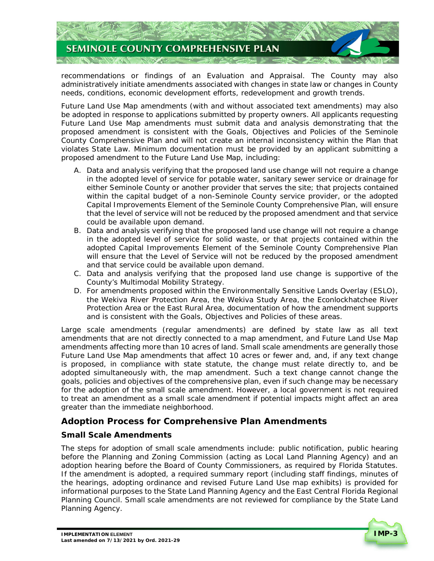

 recommendations or findings of an Evaluation and Appraisal. The County may also administratively initiate amendments associated with changes in state law or changes in County needs, conditions, economic development efforts, redevelopment and growth trends.

 Future Land Use Map amendments (with and without associated text amendments) may also be adopted in response to applications submitted by property owners. All applicants requesting Future Land Use Map amendments must submit data and analysis demonstrating that the proposed amendment is consistent with the Goals, Objectives and Policies of the Seminole County Comprehensive Plan and will not create an internal inconsistency within the Plan that violates State Law. Minimum documentation must be provided by an applicant submitting a proposed amendment to the Future Land Use Map, including:

- A. Data and analysis verifying that the proposed land use change will not require a change in the adopted level of service for potable water, sanitary sewer service or drainage for either Seminole County or another provider that serves the site; that projects contained within the capital budget of a non-Seminole County service provider, or the adopted Capital Improvements Element of the Seminole County Comprehensive Plan, will ensure that the level of service will not be reduced by the proposed amendment and that service could be available upon demand.
- B. Data and analysis verifying that the proposed land use change will not require a change in the adopted level of service for solid waste, or that projects contained within the adopted Capital Improvements Element of the Seminole County Comprehensive Plan will ensure that the Level of Service will not be reduced by the proposed amendment and that service could be available upon demand.
- C. Data and analysis verifying that the proposed land use change is supportive of the County's Multimodal Mobility Strategy.
- D. For amendments proposed within the Environmentally Sensitive Lands Overlay (ESLO), the Wekiva River Protection Area, the Wekiva Study Area, the Econlockhatchee River Protection Area or the East Rural Area, documentation of how the amendment supports and is consistent with the Goals, Objectives and Policies of these areas.

 Large scale amendments (regular amendments) are defined by state law as all text amendments that are not directly connected to a map amendment, and Future Land Use Map amendments affecting more than 10 acres of land. Small scale amendments are generally those Future Land Use Map amendments that affect 10 acres or fewer and, and, if any text change is proposed, in compliance with state statute, the change must relate directly to, and be adopted simultaneously with, the map amendment. Such a text change cannot change the goals, policies and objectives of the comprehensive plan, even if such change may be necessary for the adoption of the small scale amendment. However, a local government is not required to treat an amendment as a small scale amendment if potential impacts might affect an area greater than the immediate neighborhood.

# **Adoption Process for Comprehensive Plan Amendments**

# **Small Scale Amendments**

 The steps for adoption of small scale amendments include: public notification, public hearing before the Planning and Zoning Commission (acting as Local Land Planning Agency) and an adoption hearing before the Board of County Commissioners, as required by Florida Statutes. If the amendment is adopted, a required summary report (including staff findings, minutes of the hearings, adopting ordinance and revised Future Land Use map exhibits) is provided for informational purposes to the State Land Planning Agency and the East Central Florida Regional Planning Council. Small scale amendments are not reviewed for compliance by the State Land Planning Agency.

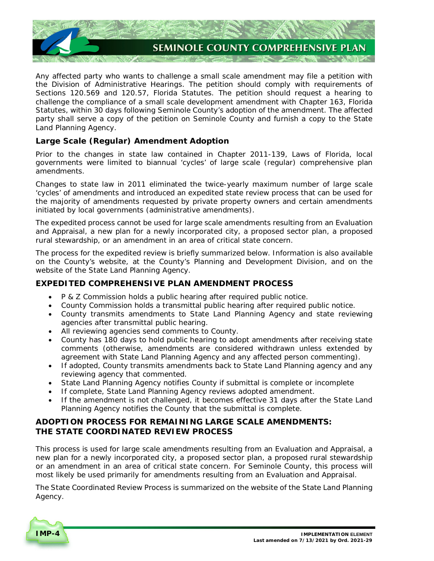

 Any affected party who wants to challenge a small scale amendment may file a petition with the Division of Administrative Hearings. The petition should comply with requirements of Sections 120.569 and 120.57, Florida Statutes. The petition should request a hearing to challenge the compliance of a small scale development amendment with Chapter 163, Florida Statutes, within 30 days following Seminole County's adoption of the amendment. The affected party shall serve a copy of the petition on Seminole County and furnish a copy to the State Land Planning Agency.

# **Large Scale (Regular) Amendment Adoption**

 Prior to the changes in state law contained in Chapter 2011-139, Laws of Florida, local governments were limited to biannual 'cycles' of large scale (regular) comprehensive plan amendments.

amendments.<br>Changes to state law in 2011 eliminated the twice-yearly maximum number of large scale 'cycles' of amendments and introduced an expedited state review process that can be used for the majority of amendments requested by private property owners and certain amendments initiated by local governments (administrative amendments).

 The expedited process cannot be used for large scale amendments resulting from an Evaluation and Appraisal, a new plan for a newly incorporated city, a proposed sector plan, a proposed rural stewardship, or an amendment in an area of critical state concern.

 The process for the expedited review is briefly summarized below. Information is also available on the County's website, at the County's Planning and Development Division, and on the website of the State Land Planning Agency.

# **EXPEDITED COMPREHENSIVE PLAN AMENDMENT PROCESS**

- P & Z Commission holds a public hearing after required public notice.
- County Commission holds a transmittal public hearing after required public notice.
- County transmits amendments to State Land Planning Agency and state reviewing agencies after transmittal public hearing.
- All reviewing agencies send comments to County.
- County has 180 days to hold public hearing to adopt amendments after receiving state comments (otherwise, amendments are considered withdrawn unless extended by agreement with State Land Planning Agency and any affected person commenting).
- If adopted, County transmits amendments back to State Land Planning agency and any reviewing agency that commented.
- State Land Planning Agency notifies County if submittal is complete or incomplete
- If complete, State Land Planning Agency reviews adopted amendment.
- If the amendment is not challenged, it becomes effective 31 days after the State Land Planning Agency notifies the County that the submittal is complete.

# **ADOPTION PROCESS FOR REMAINING LARGE SCALE AMENDMENTS: THE STATE COORDINATED REVIEW PROCESS**

 This process is used for large scale amendments resulting from an Evaluation and Appraisal, a new plan for a newly incorporated city, a proposed sector plan, a proposed rural stewardship or an amendment in an area of critical state concern. For Seminole County, this process will most likely be used primarily for amendments resulting from an Evaluation and Appraisal.

 The State Coordinated Review Process is summarized on the website of the State Land Planning Agency.

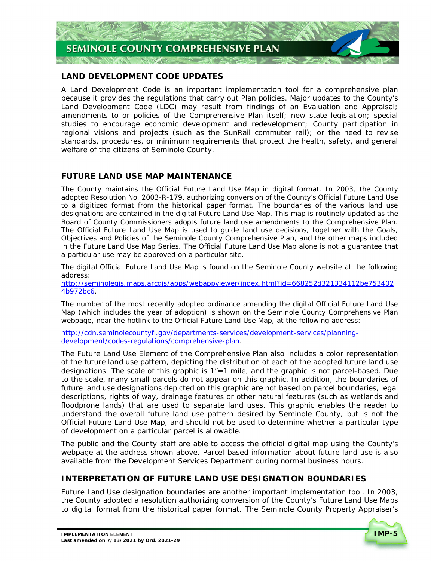

## **LAND DEVELOPMENT CODE UPDATES**

 A Land Development Code is an important implementation tool for a comprehensive plan because it provides the regulations that carry out Plan policies. Major updates to the County's Land Development Code (LDC) may result from findings of an Evaluation and Appraisal; amendments to or policies of the Comprehensive Plan itself; new state legislation; special studies to encourage economic development and redevelopment; County participation in regional visions and projects (such as the SunRail commuter rail); or the need to revise standards, procedures, or minimum requirements that protect the health, safety, and general welfare of the citizens of Seminole County.

## **FUTURE LAND USE MAP MAINTENANCE**

 The County maintains the Official Future Land Use Map in digital format. In 2003, the County adopted Resolution No. 2003-R-179, authorizing conversion of the County's Official Future Land Use to a digitized format from the historical paper format. The boundaries of the various land use designations are contained in the digital Future Land Use Map. This map is routinely updated as the Board of County Commissioners adopts future land use amendments to the Comprehensive Plan. The Official Future Land Use Map is used to guide land use decisions, together with the Goals, Objectives and Policies of the Seminole County Comprehensive Plan, and the other maps included in the Future Land Use Map Series. The Official Future Land Use Map alone is not a guarantee that a particular use may be approved on a particular site.

 The digital Official Future Land Use Map is found on the Seminole County website at the following address:

<http://seminolegis.maps.arcgis/apps/webappviewer/index.html?id=668252d321334112be753402>

<u>4b972bc6</u>.<br>The number of the most recently adopted ordinance amending the digital Official Future Land Use Map (which includes the year of adoption) is shown on the Seminole County Comprehensive Plan webpage, near the hotlink to the Official Future Land Use Map, at the following address:

<http://cdn.seminolecountyfl.gov/departments-services/development-services/planning>development/codes-regulations/comprehensive-plan.

 The Future Land Use Element of the Comprehensive Plan also includes a color representation of the future land use pattern, depicting the distribution of each of the adopted future land use designations. The scale of this graphic is 1"=1 mile, and the graphic is not parcel-based. Due to the scale, many small parcels do not appear on this graphic. In addition, the boundaries of future land use designations depicted on this graphic are not based on parcel boundaries, legal descriptions, rights of way, drainage features or other natural features (such as wetlands and floodprone lands) that are used to separate land uses. This graphic enables the reader to understand the overall future land use pattern desired by Seminole County, but is not the Official Future Land Use Map, and should not be used to determine whether a particular type of development on a particular parcel is allowable.

 The public and the County staff are able to access the official digital map using the County's webpage at the address shown above. Parcel-based information about future land use is also available from the Development Services Department during normal business hours.

#### **INTERPRETATION OF FUTURE LAND USE DESIGNATION BOUNDARIES**

 Future Land Use designation boundaries are another important implementation tool. In 2003, the County adopted a resolution authorizing conversion of the County's Future Land Use Maps to digital format from the historical paper format. The Seminole County Property Appraiser's

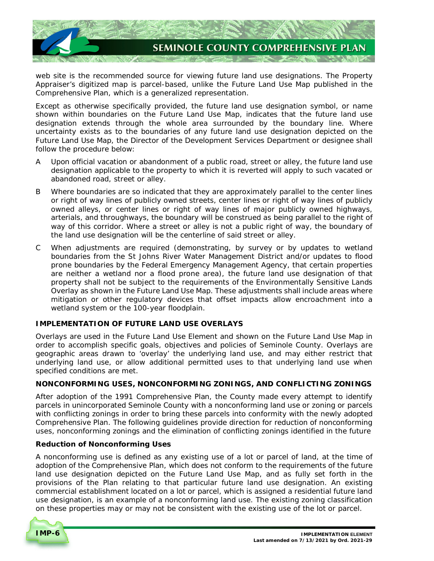

 web site is the recommended source for viewing future land use designations. The Property Appraiser's digitized map is parcel-based, unlike the Future Land Use Map published in the Comprehensive Plan, which is a generalized representation.

 Except as otherwise specifically provided, the future land use designation symbol, or name shown within boundaries on the Future Land Use Map, indicates that the future land use designation extends through the whole area surrounded by the boundary line. Where uncertainty exists as to the boundaries of any future land use designation depicted on the Future Land Use Map, the Director of the Development Services Department or designee shall follow the procedure below:

- A Upon official vacation or abandonment of a public road, street or alley, the future land use designation applicable to the property to which it is reverted will apply to such vacated or abandoned road, street or alley.
- B Where boundaries are so indicated that they are approximately parallel to the center lines or right of way lines of publicly owned streets, center lines or right of way lines of publicly owned alleys, or center lines or right of way lines of major publicly owned highways, arterials, and throughways, the boundary will be construed as being parallel to the right of way of this corridor. Where a street or alley is not a public right of way, the boundary of the land use designation will be the centerline of said street or alley.
- When adjustments are required (demonstrating, by survey or by updates to wetland boundaries from the St Johns River Water Management District and/or updates to flood prone boundaries by the Federal Emergency Management Agency, that certain properties are neither a wetland nor a flood prone area), the future land use designation of that property shall not be subject to the requirements of the Environmentally Sensitive Lands Overlay as shown in the Future Land Use Map. These adjustments shall include areas where mitigation or other regulatory devices that offset impacts allow encroachment into a wetland system or the 100-year floodplain.  $\mathcal{C}$

#### **IMPLEMENTATION OF FUTURE LAND USE OVERLAYS**

 Overlays are used in the Future Land Use Element and shown on the Future Land Use Map in order to accomplish specific goals, objectives and policies of Seminole County. Overlays are geographic areas drawn to 'overlay' the underlying land use, and may either restrict that underlying land use, or allow additional permitted uses to that underlying land use when specified conditions are met.

#### **NONCONFORMING USES, NONCONFORMING ZONINGS, AND CONFLICTING ZONINGS**

 After adoption of the 1991 Comprehensive Plan, the County made every attempt to identify parcels in unincorporated Seminole County with a nonconforming land use or zoning or parcels with conflicting zonings in order to bring these parcels into conformity with the newly adopted Comprehensive Plan. The following guidelines provide direction for reduction of nonconforming uses, nonconforming zonings and the elimination of conflicting zonings identified in the future

#### **Reduction of Nonconforming Uses**

 A nonconforming use is defined as any existing use of a lot or parcel of land, at the time of adoption of the Comprehensive Plan, which does not conform to the requirements of the future land use designation depicted on the Future Land Use Map, and as fully set forth in the provisions of the Plan relating to that particular future land use designation. An existing commercial establishment located on a lot or parcel, which is assigned a residential future land use designation, is an example of a nonconforming land use. The existing zoning classification on these properties may or may not be consistent with the existing use of the lot or parcel.

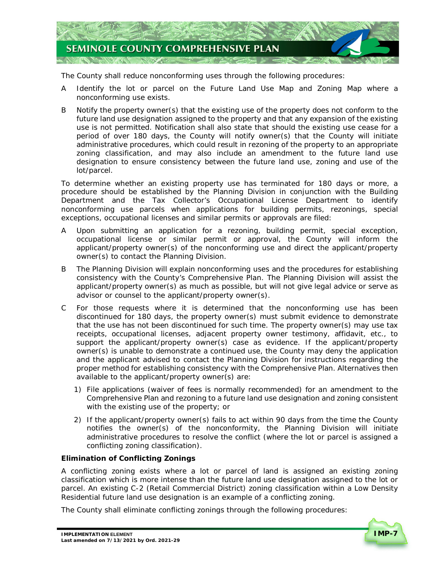

The County shall reduce nonconforming uses through the following procedures:

- A Identify the lot or parcel on the Future Land Use Map and Zoning Map where a nonconforming use exists.
- B Notify the property owner(s) that the existing use of the property does not conform to the future land use designation assigned to the property and that any expansion of the existing use is not permitted. Notification shall also state that should the existing use cease for a period of over 180 days, the County will notify owner(s) that the County will initiate administrative procedures, which could result in rezoning of the property to an appropriate zoning classification, and may also include an amendment to the future land use designation to ensure consistency between the future land use, zoning and use of the lot/parcel.

 To determine whether an existing property use has terminated for 180 days or more, a procedure should be established by the Planning Division in conjunction with the Building Department and the Tax Collector's Occupational License Department to identify nonconforming use parcels when applications for building permits, rezonings, special exceptions, occupational licenses and similar permits or approvals are filed:

- A Upon submitting an application for a rezoning, building permit, special exception, occupational license or similar permit or approval, the County will inform the applicant/property owner(s) of the nonconforming use and direct the applicant/property owner(s) to contact the Planning Division.
- B The Planning Division will explain nonconforming uses and the procedures for establishing consistency with the County's Comprehensive Plan. The Planning Division will assist the applicant/property owner(s) as much as possible, but will not give legal advice or serve as advisor or counsel to the applicant/property owner(s).
- C For those requests where it is determined that the nonconforming use has been discontinued for 180 days, the property owner(s) must submit evidence to demonstrate that the use has not been discontinued for such time. The property owner(s) may use tax receipts, occupational licenses, adjacent property owner testimony, affidavit, etc., to support the applicant/property owner(s) case as evidence. If the applicant/property owner(s) is unable to demonstrate a continued use, the County may deny the application and the applicant advised to contact the Planning Division for instructions regarding the proper method for establishing consistency with the Comprehensive Plan. Alternatives then available to the applicant/property owner(s) are:
	- 1) File applications (waiver of fees is normally recommended) for an amendment to the Comprehensive Plan and rezoning to a future land use designation and zoning consistent with the existing use of the property; or
	- 2) If the applicant/property owner(s) fails to act within 90 days from the time the County notifies the owner(s) of the nonconformity, the Planning Division will initiate administrative procedures to resolve the conflict (where the lot or parcel is assigned a conflicting zoning classification).

#### **Elimination of Conflicting Zonings**

 A conflicting zoning exists where a lot or parcel of land is assigned an existing zoning classification which is more intense than the future land use designation assigned to the lot or parcel. An existing C-2 (Retail Commercial District) zoning classification within a Low Density Residential future land use designation is an example of a conflicting zoning.

The County shall eliminate conflicting zonings through the following procedures:

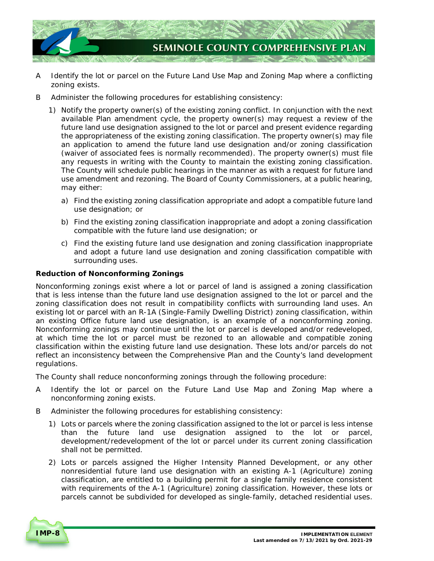

- A Identify the lot or parcel on the Future Land Use Map and Zoning Map where a conflicting zoning exists.
- B Administer the following procedures for establishing consistency:
	- 1) Notify the property owner(s) of the existing zoning conflict. In conjunction with the next available Plan amendment cycle, the property owner(s) may request a review of the future land use designation assigned to the lot or parcel and present evidence regarding the appropriateness of the existing zoning classification. The property owner(s) may file an application to amend the future land use designation and/or zoning classification (waiver of associated fees is normally recommended). The property owner(s) must file any requests in writing with the County to maintain the existing zoning classification. The County will schedule public hearings in the manner as with a request for future land use amendment and rezoning. The Board of County Commissioners, at a public hearing, may either:
		- a) Find the existing zoning classification appropriate and adopt a compatible future land use designation; or
		- b) Find the existing zoning classification inappropriate and adopt a zoning classification compatible with the future land use designation; or
		- c) Find the existing future land use designation and zoning classification inappropriate and adopt a future land use designation and zoning classification compatible with surrounding uses.

#### **Reduction of Nonconforming Zonings**

 Nonconforming zonings exist where a lot or parcel of land is assigned a zoning classification that is less intense than the future land use designation assigned to the lot or parcel and the zoning classification does not result in compatibility conflicts with surrounding land uses. An existing lot or parcel with an R-1A (Single-Family Dwelling District) zoning classification, within an existing Office future land use designation, is an example of a nonconforming zoning. Nonconforming zonings may continue until the lot or parcel is developed and/or redeveloped, at which time the lot or parcel must be rezoned to an allowable and compatible zoning classification within the existing future land use designation. These lots and/or parcels do not reflect an inconsistency between the Comprehensive Plan and the County's land development regulations.

The County shall reduce nonconforming zonings through the following procedure:

- A Identify the lot or parcel on the Future Land Use Map and Zoning Map where a nonconforming zoning exists.
- B Administer the following procedures for establishing consistency:
	- 1) Lots or parcels where the zoning classification assigned to the lot or parcel is less intense than the future land use designation assigned to the lot or parcel, development/redevelopment of the lot or parcel under its current zoning classification shall not be permitted.
	- 2) Lots or parcels assigned the Higher Intensity Planned Development, or any other nonresidential future land use designation with an existing A-1 (Agriculture) zoning classification, are entitled to a building permit for a single family residence consistent with requirements of the A-1 (Agriculture) zoning classification. However, these lots or parcels cannot be subdivided for developed as single-family, detached residential uses.

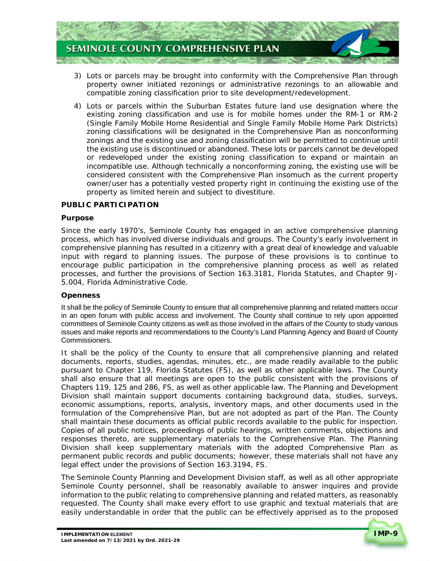

- 3) Lots or parcels may be brought into conformity with the Comprehensive Plan through property owner initiated rezonings or administrative rezonings to an allowable and compatible zoning classification prior to site development/redevelopment.
- 4) Lots or parcels within the Suburban Estates future land use designation where the existing zoning classification and use is for mobile homes under the RM-1 or RM-2 (Single Family Mobile Home Residential and Single Family Mobile Home Park Districts) zoning classifications will be designated in the Comprehensive Plan as nonconforming zonings and the existing use and zoning classification will be permitted to continue until the existing use is discontinued or abandoned. These lots or parcels cannot be developed or redeveloped under the existing zoning classification to expand or maintain an incompatible use. Although technically a nonconforming zoning, the existing use will be considered consistent with the Comprehensive Plan insomuch as the current property owner/user has a potentially vested property right in continuing the existing use of the property as limited herein and subject to divestiture.

#### **PUBLIC PARTICIPATION**

#### **Purpose**

 Since the early 1970's, Seminole County has engaged in an active comprehensive planning process, which has involved diverse individuals and groups. The County's early involvement in comprehensive planning has resulted in a citizenry with a great deal of knowledge and valuable input with regard to planning issues. The purpose of these provisions is to continue to encourage public participation in the comprehensive planning process as well as related processes, and further the provisions of Section 163.3181, Florida Statutes, and Chapter 9J-5.004, Florida Administrative Code.

#### **Openness**

 It shall be the policy of Seminole County to ensure that all comprehensive planning and related matters occur in an open forum with public access and involvement. The County shall continue to rely upon appointed committees of Seminole County citizens as well as those involved in the affairs of the County to study various issues and make reports and recommendations to the County's Land Planning Agency and Board of County Commissioners.

 It shall be the policy of the County to ensure that all comprehensive planning and related documents, reports, studies, agendas, minutes, etc., are made readily available to the public pursuant to Chapter 119, Florida Statutes (FS), as well as other applicable laws. The County shall also ensure that all meetings are open to the public consistent with the provisions of Chapters 119, 125 and 286, FS, as well as other applicable law. The Planning and Development Division shall maintain support documents containing background data, studies, surveys, economic assumptions, reports, analysis, inventory maps, and other documents used in the formulation of the Comprehensive Plan, but are not adopted as part of the Plan. The County shall maintain these documents as official public records available to the public for inspection. Copies of all public notices, proceedings of public hearings, written comments, objections and responses thereto, are supplementary materials to the Comprehensive Plan. The Planning Division shall keep supplementary materials with the adopted Comprehensive Plan as permanent public records and public documents; however, these materials shall not have any legal effect under the provisions of Section 163.3194, FS.

 The Seminole County Planning and Development Division staff, as well as all other appropriate Seminole County personnel, shall be reasonably available to answer inquires and provide information to the public relating to comprehensive planning and related matters, as reasonably requested. The County shall make every effort to use graphic and textual materials that are easily understandable in order that the public can be effectively apprised as to the proposed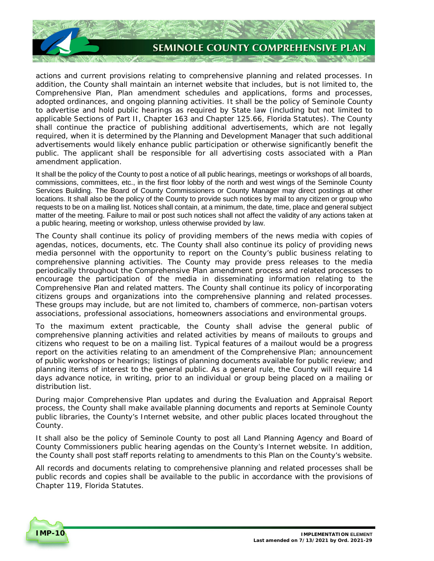

 actions and current provisions relating to comprehensive planning and related processes. In addition, the County shall maintain an internet website that includes, but is not limited to, the Comprehensive Plan, Plan amendment schedules and applications, forms and processes, adopted ordinances, and ongoing planning activities. It shall be the policy of Seminole County to advertise and hold public hearings as required by State law (including but not limited to applicable Sections of Part II, Chapter 163 and Chapter 125.66, Florida Statutes). The County shall continue the practice of publishing additional advertisements, which are not legally required, when it is determined by the Planning and Development Manager that such additional advertisements would likely enhance public participation or otherwise significantly benefit the public. The applicant shall be responsible for all advertising costs associated with a Plan amendment application.

 It shall be the policy of the County to post a notice of all public hearings, meetings or workshops of all boards, commissions, committees, etc., in the first floor lobby of the north and west wings of the Seminole County Services Building. The Board of County Commissioners or County Manager may direct postings at other locations. It shall also be the policy of the County to provide such notices by mail to any citizen or group who requests to be on a mailing list. Notices shall contain, at a minimum, the date, time, place and general subject matter of the meeting. Failure to mail or post such notices shall not affect the validity of any actions taken at a public hearing, meeting or workshop, unless otherwise provided by law.

 The County shall continue its policy of providing members of the news media with copies of agendas, notices, documents, etc. The County shall also continue its policy of providing news media personnel with the opportunity to report on the County's public business relating to comprehensive planning activities. The County may provide press releases to the media periodically throughout the Comprehensive Plan amendment process and related processes to encourage the participation of the media in disseminating information relating to the Comprehensive Plan and related matters. The County shall continue its policy of incorporating citizens groups and organizations into the comprehensive planning and related processes. These groups may include, but are not limited to, chambers of commerce, non-partisan voters associations, professional associations, homeowners associations and environmental groups.

 To the maximum extent practicable, the County shall advise the general public of comprehensive planning activities and related activities by means of mailouts to groups and citizens who request to be on a mailing list. Typical features of a mailout would be a progress report on the activities relating to an amendment of the Comprehensive Plan; announcement of public workshops or hearings; listings of planning documents available for public review; and planning items of interest to the general public. As a general rule, the County will require 14 days advance notice, in writing, prior to an individual or group being placed on a mailing or distribution list.

 During major Comprehensive Plan updates and during the Evaluation and Appraisal Report process, the County shall make available planning documents and reports at Seminole County public libraries, the County's Internet website, and other public places located throughout the County.

County.<br>It shall also be the policy of Seminole County to post all Land Planning Agency and Board of County Commissioners public hearing agendas on the County's Internet website. In addition, the County shall post staff reports relating to amendments to this Plan on the County's website.

 All records and documents relating to comprehensive planning and related processes shall be public records and copies shall be available to the public in accordance with the provisions of Chapter 119, Florida Statutes.

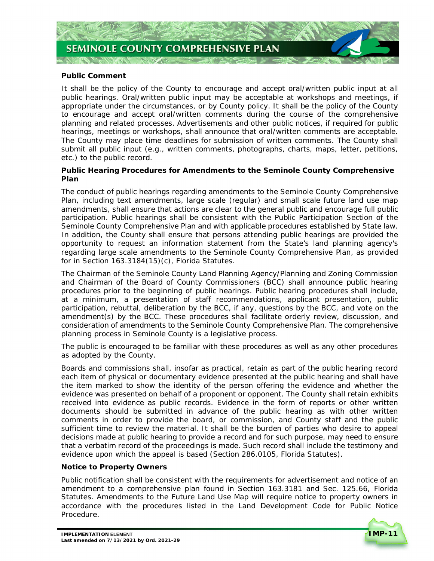

#### **Public Comment**

 It shall be the policy of the County to encourage and accept oral/written public input at all public hearings. Oral/written public input may be acceptable at workshops and meetings, if appropriate under the circumstances, or by County policy. It shall be the policy of the County to encourage and accept oral/written comments during the course of the comprehensive planning and related processes. Advertisements and other public notices, if required for public hearings, meetings or workshops, shall announce that oral/written comments are acceptable. The County may place time deadlines for submission of written comments. The County shall submit all public input (e.g., written comments, photographs, charts, maps, letter, petitions, etc.) to the public record.

#### **Public Hearing Procedures for Amendments to the Seminole County Comprehensive Plan**

 The conduct of public hearings regarding amendments to the Seminole County Comprehensive Plan, including text amendments, large scale (regular) and small scale future land use map amendments, shall ensure that actions are clear to the general public and encourage full public participation. Public hearings shall be consistent with the Public Participation Section of the Seminole County Comprehensive Plan and with applicable procedures established by State law. In addition, the County shall ensure that persons attending public hearings are provided the opportunity to request an information statement from the State's land planning agency's regarding large scale amendments to the Seminole County Comprehensive Plan, as provided for in Section 163.3184(15)(c), Florida Statutes.

 The Chairman of the Seminole County Land Planning Agency/Planning and Zoning Commission and Chairman of the Board of County Commissioners (BCC) shall announce public hearing procedures prior to the beginning of public hearings. Public hearing procedures shall include, at a minimum, a presentation of staff recommendations, applicant presentation, public participation, rebuttal, deliberation by the BCC, if any, questions by the BCC, and vote on the amendment(s) by the BCC. These procedures shall facilitate orderly review, discussion, and consideration of amendments to the Seminole County Comprehensive Plan. The comprehensive planning process in Seminole County is a legislative process.

 The public is encouraged to be familiar with these procedures as well as any other procedures as adopted by the County.

 Boards and commissions shall, insofar as practical, retain as part of the public hearing record each item of physical or documentary evidence presented at the public hearing and shall have the item marked to show the identity of the person offering the evidence and whether the evidence was presented on behalf of a proponent or opponent. The County shall retain exhibits received into evidence as public records. Evidence in the form of reports or other written documents should be submitted in advance of the public hearing as with other written comments in order to provide the board, or commission, and County staff and the public sufficient time to review the material. It shall be the burden of parties who desire to appeal decisions made at public hearing to provide a record and for such purpose, may need to ensure that a verbatim record of the proceedings is made. Such record shall include the testimony and evidence upon which the appeal is based (Section 286.0105, Florida Statutes).

#### **Notice to Property Owners**

 Public notification shall be consistent with the requirements for advertisement and notice of an amendment to a comprehensive plan found in Section 163.3181 and Sec. 125.66, Florida Statutes. Amendments to the Future Land Use Map will require notice to property owners in accordance with the procedures listed in the Land Development Code for Public Notice Procedure.

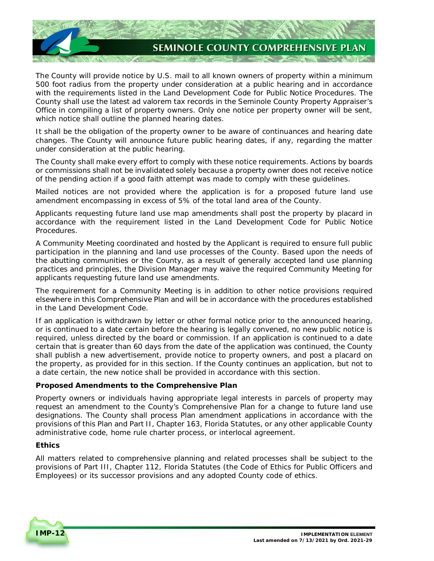

 The County will provide notice by U.S. mail to all known owners of property within a minimum 500 foot radius from the property under consideration at a public hearing and in accordance with the requirements listed in the Land Development Code for Public Notice Procedures. The County shall use the latest ad valorem tax records in the Seminole County Property Appraiser's Office in compiling a list of property owners. Only one notice per property owner will be sent, which notice shall outline the planned hearing dates.

 It shall be the obligation of the property owner to be aware of continuances and hearing date changes. The County will announce future public hearing dates, if any, regarding the matter under consideration at the public hearing.

 The County shall make every effort to comply with these notice requirements. Actions by boards or commissions shall not be invalidated solely because a property owner does not receive notice of the pending action if a good faith attempt was made to comply with these guidelines.

 Mailed notices are not provided where the application is for a proposed future land use amendment encompassing in excess of 5% of the total land area of the County.

 Applicants requesting future land use map amendments shall post the property by placard in accordance with the requirement listed in the Land Development Code for Public Notice Procedures.

 A Community Meeting coordinated and hosted by the Applicant is required to ensure full public participation in the planning and land use processes of the County. Based upon the needs of the abutting communities or the County, as a result of generally accepted land use planning practices and principles, the Division Manager may waive the required Community Meeting for applicants requesting future land use amendments.

 The requirement for a Community Meeting is in addition to other notice provisions required elsewhere in this Comprehensive Plan and will be in accordance with the procedures established in the Land Development Code.

 If an application is withdrawn by letter or other formal notice prior to the announced hearing, or is continued to a date certain before the hearing is legally convened, no new public notice is required, unless directed by the board or commission. If an application is continued to a date certain that is greater than 60 days from the date of the application was continued, the County shall publish a new advertisement, provide notice to property owners, and post a placard on the property, as provided for in this section. If the County continues an application, but not to a date certain, the new notice shall be provided in accordance with this section.

#### **Proposed Amendments to the Comprehensive Plan**

 Property owners or individuals having appropriate legal interests in parcels of property may request an amendment to the County's Comprehensive Plan for a change to future land use designations. The County shall process Plan amendment applications in accordance with the provisions of this Plan and Part II, Chapter 163, Florida Statutes, or any other applicable County administrative code, home rule charter process, or interlocal agreement.

#### **Ethics**

 All matters related to comprehensive planning and related processes shall be subject to the provisions of Part III, Chapter 112, Florida Statutes (the Code of Ethics for Public Officers and Employees) or its successor provisions and any adopted County code of ethics.

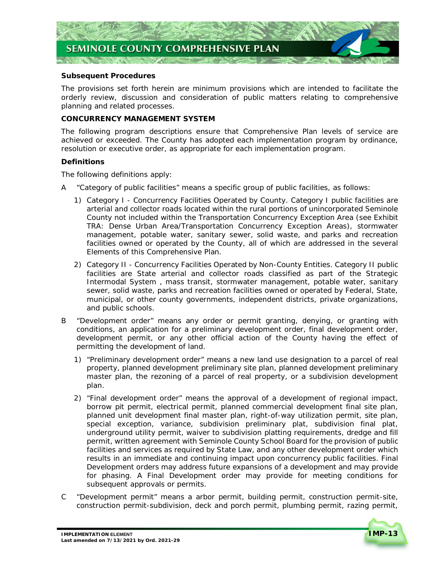

#### **Subsequent Procedures**

 The provisions set forth herein are minimum provisions which are intended to facilitate the orderly review, discussion and consideration of public matters relating to comprehensive planning and related processes.

#### **CONCURRENCY MANAGEMENT SYSTEM**

 The following program descriptions ensure that Comprehensive Plan levels of service are achieved or exceeded. The County has adopted each implementation program by ordinance, resolution or executive order, as appropriate for each implementation program.

#### **Definitions**

The following definitions apply:

- A "Category of public facilities" means a specific group of public facilities, as follows:
	- 1) Category I Concurrency Facilities Operated by County. Category I public facilities are arterial and collector roads located within the rural portions of unincorporated Seminole County not included within the Transportation Concurrency Exception Area (see *Exhibit*  management, potable water, sanitary sewer, solid waste, and parks and recreation facilities owned or operated by the County, all of which are addressed in the several Elements of this Comprehensive Plan. *TRA: Dense Urban Area/Transportation Concurrency Exception Areas*), stormwater
	- 2) Category II Concurrency Facilities Operated by Non-County Entities. Category II public facilities are State arterial and collector roads classified as part of the Strategic Intermodal System , mass transit, stormwater management, potable water, sanitary sewer, solid waste, parks and recreation facilities owned or operated by Federal, State, municipal, or other county governments, independent districts, private organizations, and public schools.
- B "Development order" means any order or permit granting, denying, or granting with conditions, an application for a preliminary development order, final development order, development permit, or any other official action of the County having the effect of permitting the development of land.
	- 1) "Preliminary development order" means a new land use designation to a parcel of real property, planned development preliminary site plan, planned development preliminary master plan, the rezoning of a parcel of real property, or a subdivision development plan.
	- 2) "Final development order" means the approval of a development of regional impact, borrow pit permit, electrical permit, planned commercial development final site plan, planned unit development final master plan, right-of-way utilization permit, site plan, special exception, variance, subdivision preliminary plat, subdivision final plat, underground utility permit, waiver to subdivision platting requirements, dredge and fill permit, written agreement with Seminole County School Board for the provision of public facilities and services as required by State Law, and any other development order which results in an immediate and continuing impact upon concurrency public facilities. Final Development orders may address future expansions of a development and may provide for phasing. A Final Development order may provide for meeting conditions for subsequent approvals or permits.
- "Development permit" means a arbor permit, building permit, construction permit-site, construction permit-subdivision, deck and porch permit, plumbing permit, razing permit,  $\mathcal{C}$

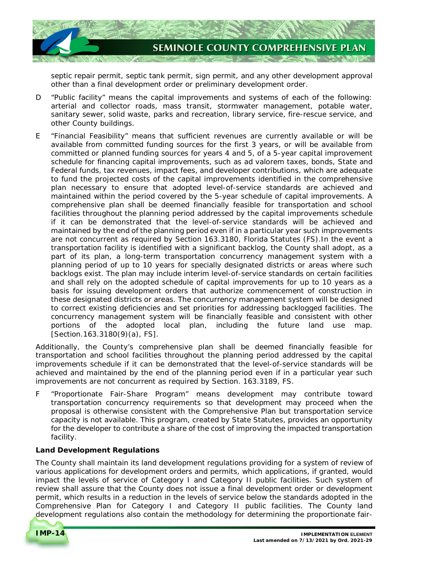

 septic repair permit, septic tank permit, sign permit, and any other development approval other than a final development order or preliminary development order.

- D "Public facility" means the capital improvements and systems of each of the following: arterial and collector roads, mass transit, stormwater management, potable water, sanitary sewer, solid waste, parks and recreation, library service, fire-rescue service, and other County buildings.
- E "Financial Feasibility" means that sufficient revenues are currently available or will be available from committed funding sources for the first 3 years, or will be available from committed or planned funding sources for years 4 and 5, of a 5-year capital improvement schedule for financing capital improvements, such as ad valorem taxes, bonds, State and Federal funds, tax revenues, impact fees, and developer contributions, which are adequate to fund the projected costs of the capital improvements identified in the comprehensive plan necessary to ensure that adopted level-of-service standards are achieved and maintained within the period covered by the 5-year schedule of capital improvements. A comprehensive plan shall be deemed financially feasible for transportation and school facilities throughout the planning period addressed by the capital improvements schedule if it can be demonstrated that the level-of-service standards will be achieved and maintained by the end of the planning period even if in a particular year such improvements are not concurrent as required by Section 163.3180, Florida Statutes (FS).In the event a transportation facility is identified with a significant backlog, the County shall adopt, as a part of its plan, a long-term transportation concurrency management system with a planning period of up to 10 years for specially designated districts or areas where such backlogs exist. The plan may include interim level-of-service standards on certain facilities and shall rely on the adopted schedule of capital improvements for up to 10 years as a basis for issuing development orders that authorize commencement of construction in these designated districts or areas. The concurrency management system will be designed to correct existing deficiencies and set priorities for addressing backlogged facilities. The concurrency management system will be financially feasible and consistent with other portions of the adopted local plan, including the future land use map. [Section.163.3180(9)(a), FS].

 Additionally, the County's comprehensive plan shall be deemed financially feasible for transportation and school facilities throughout the planning period addressed by the capital improvements schedule if it can be demonstrated that the level-of-service standards will be achieved and maintained by the end of the planning period even if in a particular year such improvements are not concurrent as required by Section. 163.3189, FS.

 F "Proportionate Fair-Share Program" means development may contribute toward transportation concurrency requirements so that development may proceed when the proposal is otherwise consistent with the Comprehensive Plan but transportation service capacity is not available. This program, created by State Statutes, provides an opportunity for the developer to contribute a share of the cost of improving the impacted transportation facility.

#### **Land Development Regulations**

 The County shall maintain its land development regulations providing for a system of review of various applications for development orders and permits, which applications, if granted, would impact the levels of service of Category I and Category II public facilities. Such system of review shall assure that the County does not issue a final development order or development permit, which results in a reduction in the levels of service below the standards adopted in the Comprehensive Plan for Category I and Category II public facilities. The County land development regulations also contain the methodology for determining the proportionate fair-

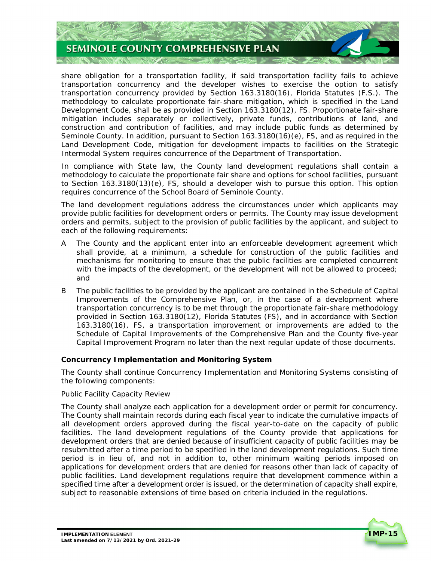

 share obligation for a transportation facility, if said transportation facility fails to achieve transportation concurrency and the developer wishes to exercise the option to satisfy transportation concurrency provided by Section 163.3180(16), Florida Statutes (F.S.). The methodology to calculate proportionate fair-share mitigation, which is specified in the Land Development Code, shall be as provided in Section 163.3180(12), FS. Proportionate fair-share mitigation includes separately or collectively, private funds, contributions of land, and construction and contribution of facilities, and may include public funds as determined by Seminole County. In addition, pursuant to Section 163.3180(16)(e), FS, and as required in the Land Development Code, mitigation for development impacts to facilities on the Strategic Intermodal System requires concurrence of the Department of Transportation.

 In compliance with State law, the County land development regulations shall contain a methodology to calculate the proportionate fair share and options for school facilities, pursuant to Section 163.3180(13)(e), FS, should a developer wish to pursue this option. This option requires concurrence of the School Board of Seminole County.

 The land development regulations address the circumstances under which applicants may provide public facilities for development orders or permits. The County may issue development orders and permits, subject to the provision of public facilities by the applicant, and subject to each of the following requirements:

- A The County and the applicant enter into an enforceable development agreement which shall provide, at a minimum, a schedule for construction of the public facilities and mechanisms for monitoring to ensure that the public facilities are completed concurrent with the impacts of the development, or the development will not be allowed to proceed; and
- B The public facilities to be provided by the applicant are contained in the Schedule of Capital Improvements of the Comprehensive Plan, or, in the case of a development where transportation concurrency is to be met through the proportionate fair-share methodology provided in Section 163.3180(12), Florida Statutes (FS), and in accordance with Section 163.3180(16), FS, a transportation improvement or improvements are added to the Schedule of Capital Improvements of the Comprehensive Plan and the County five-year Capital Improvement Program no later than the next regular update of those documents.

#### **Concurrency Implementation and Monitoring System**

 The County shall continue Concurrency Implementation and Monitoring Systems consisting of the following components:

#### Public Facility Capacity Review

 The County shall analyze each application for a development order or permit for concurrency. The County shall maintain records during each fiscal year to indicate the cumulative impacts of all development orders approved during the fiscal year-to-date on the capacity of public facilities. The land development regulations of the County provide that applications for development orders that are denied because of insufficient capacity of public facilities may be resubmitted after a time period to be specified in the land development regulations. Such time period is in lieu of, and not in addition to, other minimum waiting periods imposed on applications for development orders that are denied for reasons other than lack of capacity of public facilities. Land development regulations require that development commence within a specified time after a development order is issued, or the determination of capacity shall expire, subject to reasonable extensions of time based on criteria included in the regulations.

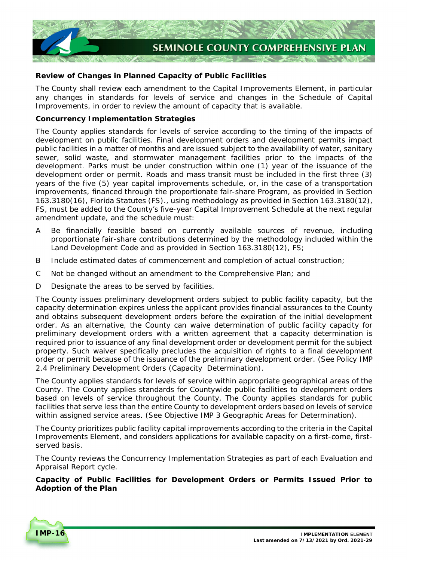

## **Review of Changes in Planned Capacity of Public Facilities**

 The County shall review each amendment to the Capital Improvements Element, in particular any changes in standards for levels of service and changes in the Schedule of Capital Improvements, in order to review the amount of capacity that is available.

#### **Concurrency Implementation Strategies**

 The County applies standards for levels of service according to the timing of the impacts of development on public facilities. Final development orders and development permits impact public facilities in a matter of months and are issued subject to the availability of water, sanitary sewer, solid waste, and stormwater management facilities prior to the impacts of the development. Parks must be under construction within one (1) year of the issuance of the development order or permit. Roads and mass transit must be included in the first three (3) years of the five (5) year capital improvements schedule, or, in the case of a transportation improvements, financed through the proportionate fair-share Program, as provided in Section 163.3180(16), Florida Statutes (FS)., using methodology as provided in Section 163.3180(12), FS, must be added to the County's five-year Capital Improvement Schedule at the next regular amendment update, and the schedule must:

- A Be financially feasible based on currently available sources of revenue, including proportionate fair-share contributions determined by the methodology included within the Land Development Code and as provided in Section 163.3180(12), FS;
- B Include estimated dates of commencement and completion of actual construction;
- C Not be changed without an amendment to the Comprehensive Plan; and
- D Designate the areas to be served by facilities.

 The County issues preliminary development orders subject to public facility capacity, but the capacity determination expires unless the applicant provides financial assurances to the County and obtains subsequent development orders before the expiration of the initial development order. As an alternative, the County can waive determination of public facility capacity for preliminary development orders with a written agreement that a capacity determination is required prior to issuance of any final development order or development permit for the subject property. Such waiver specifically precludes the acquisition of rights to a final development order or permit because of the issuance of the preliminary development order. (See *Policy IMP 2.4 Preliminary Development Orders (Capacity Determination).* 

 The County applies standards for levels of service within appropriate geographical areas of the County. The County applies standards for Countywide public facilities to development orders based on levels of service throughout the County. The County applies standards for public facilities that serve less than the entire County to development orders based on levels of service within assigned service areas. (See *Objective IMP 3 Geographic Areas for Determination)*.

 The County prioritizes public facility capital improvements according to the criteria in the Capital Improvements Element, and considers applications for available capacity on a first-come, first-served basis.

 The County reviews the Concurrency Implementation Strategies as part of each Evaluation and Appraisal Report cycle.

 **Capacity of Public Facilities for Development Orders or Permits Issued Prior to Adoption of the Plan** 

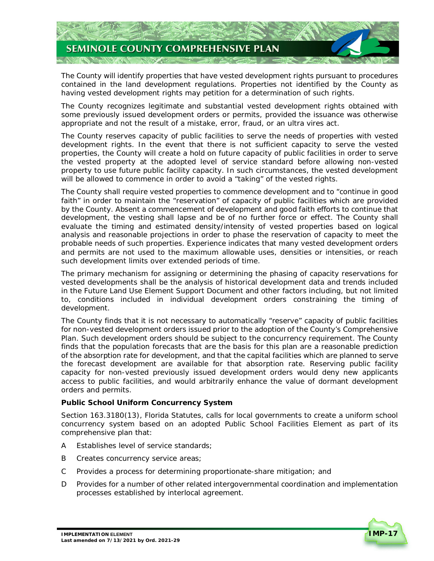

 The County will identify properties that have vested development rights pursuant to procedures contained in the land development regulations. Properties not identified by the County as having vested development rights may petition for a determination of such rights.

 The County recognizes legitimate and substantial vested development rights obtained with some previously issued development orders or permits, provided the issuance was otherwise appropriate and not the result of a mistake, error, fraud, or an ultra vires act.

 The County reserves capacity of public facilities to serve the needs of properties with vested development rights. In the event that there is not sufficient capacity to serve the vested properties, the County will create a hold on future capacity of public facilities in order to serve the vested property at the adopted level of service standard before allowing non-vested property to use future public facility capacity. In such circumstances, the vested development will be allowed to commence in order to avoid a "taking" of the vested rights.

 The County shall require vested properties to commence development and to "continue in good faith" in order to maintain the "reservation" of capacity of public facilities which are provided by the County. Absent a commencement of development and good faith efforts to continue that development, the vesting shall lapse and be of no further force or effect. The County shall evaluate the timing and estimated density/intensity of vested properties based on logical analysis and reasonable projections in order to phase the reservation of capacity to meet the probable needs of such properties. Experience indicates that many vested development orders and permits are not used to the maximum allowable uses, densities or intensities, or reach such development limits over extended periods of time.

 The primary mechanism for assigning or determining the phasing of capacity reservations for vested developments shall be the analysis of historical development data and trends included in the Future Land Use Element Support Document and other factors including, but not limited to, conditions included in individual development orders constraining the timing of development.

 The County finds that it is not necessary to automatically "reserve" capacity of public facilities for non-vested development orders issued prior to the adoption of the County's Comprehensive Plan. Such development orders should be subject to the concurrency requirement. The County finds that the population forecasts that are the basis for this plan are a reasonable prediction of the absorption rate for development, and that the capital facilities which are planned to serve the forecast development are available for that absorption rate. Reserving public facility capacity for non-vested previously issued development orders would deny new applicants access to public facilities, and would arbitrarily enhance the value of dormant development orders and permits.

#### **Public School Uniform Concurrency System**

 Section 163.3180(13), Florida Statutes, calls for local governments to create a uniform school concurrency system based on an adopted Public School Facilities Element as part of its comprehensive plan that:

- A Establishes level of service standards;
- B Creates concurrency service areas;
- Provides a process for determining proportionate-share mitigation; and C
- D Provides for a number of other related intergovernmental coordination and implementation processes established by interlocal agreement.

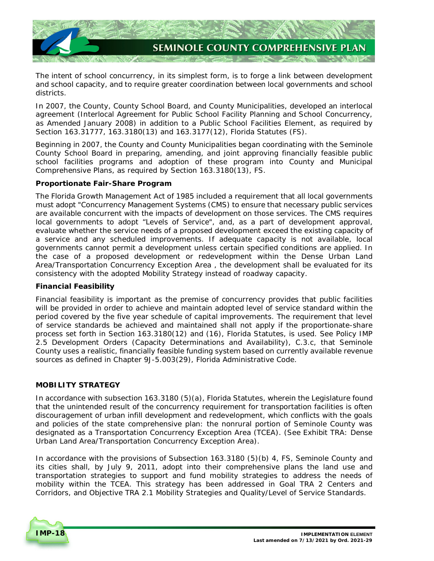

 The intent of school concurrency, in its simplest form, is to forge a link between development and school capacity, and to require greater coordination between local governments and school districts.

 In 2007, the County, County School Board, and County Municipalities, developed an interlocal agreement (Interlocal Agreement for Public School Facility Planning and School Concurrency, as Amended January 2008) in addition to a Public School Facilities Element, as required by Section 163.31777, 163.3180(13) and 163.3177(12), Florida Statutes (FS).

 Beginning in 2007, the County and County Municipalities began coordinating with the Seminole County School Board in preparing, amending, and joint approving financially feasible public school facilities programs and adoption of these program into County and Municipal Comprehensive Plans, as required by Section 163.3180(13), FS.

#### **Proportionate Fair-Share Program**

 The Florida Growth Management Act of 1985 included a requirement that all local governments must adopt "Concurrency Management Systems (CMS) to ensure that necessary public services are available concurrent with the impacts of development on those services. The CMS requires local governments to adopt "Levels of Service", and, as a part of development approval, evaluate whether the service needs of a proposed development exceed the existing capacity of a service and any scheduled improvements. If adequate capacity is not available, local governments cannot permit a development unless certain specified conditions are applied. In the case of a proposed development or redevelopment within the Dense Urban Land Area/Transportation Concurrency Exception Area , the development shall be evaluated for its consistency with the adopted Mobility Strategy instead of roadway capacity.

#### **Financial Feasibility**

 Financial feasibility is important as the premise of concurrency provides that public facilities will be provided in order to achieve and maintain adopted level of service standard within the period covered by the five year schedule of capital improvements. The requirement that level of service standards be achieved and maintained shall not apply if the proportionate-share process set forth in Section 163.3180(12) and (16), Florida Statutes, is used. See *Policy IMP 2.5 Development Orders (Capacity Determinations and Availability)*, C.3.c, that Seminole County uses a realistic, financially feasible funding system based on currently available revenue sources as defined in Chapter 9J-5.003(29), Florida Administrative Code.

#### **MOBILITY STRATEGY**

 In accordance with subsection 163.3180 (5)(a), Florida Statutes, wherein the Legislature found that the unintended result of the concurrency requirement for transportation facilities is often discouragement of urban infill development and redevelopment, which conflicts with the goals and policies of the state comprehensive plan: the nonrural portion of Seminole County was designated as a Transportation Concurrency Exception Area (TCEA). (See *Exhibit TRA: Dense Urban Land Area/Transportation Concurrency Exception Area*).

 In accordance with the provisions of Subsection 163.3180 (5)(b) 4, FS, Seminole County and its cities shall, by July 9, 2011, adopt into their comprehensive plans the land use and transportation strategies to support and fund mobility strategies to address the needs of mobility within the TCEA. This strategy has been addressed in *Goal TRA 2 Centers and Corridors,* and *Objective TRA 2.1 Mobility Strategies and Quality/Level of Service Standards.* 

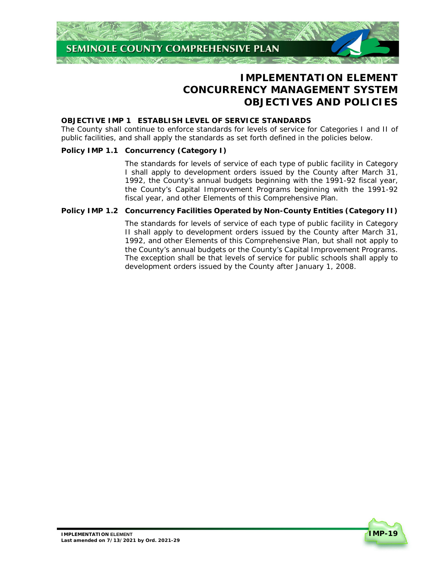

# **CONCURRENCY MANAGEMENT SYSTEM IMPLEMENTATION ELEMENT OBJECTIVES AND POLICIES**

#### **OBJECTIVE IMP 1 ESTABLISH LEVEL OF SERVICE STANDARDS**

 The County shall continue to enforce standards for levels of service for Categories I and II of public facilities, and shall apply the standards as set forth defined in the policies below.

#### **Policy IMP 1.1 Concurrency (Category I)**

 The standards for levels of service of each type of public facility in Category I shall apply to development orders issued by the County after March 31, 1992, the County's annual budgets beginning with the 1991-92 fiscal year, the County's Capital Improvement Programs beginning with the 1991-92 fiscal year, and other Elements of this Comprehensive Plan.

#### **Policy IMP 1.2 Concurrency Facilities Operated by Non-County Entities (Category II)**

 The standards for levels of service of each type of public facility in Category II shall apply to development orders issued by the County after March 31, 1992, and other Elements of this Comprehensive Plan, but shall not apply to the County's annual budgets or the County's Capital Improvement Programs. The exception shall be that levels of service for public schools shall apply to development orders issued by the County after January 1, 2008.

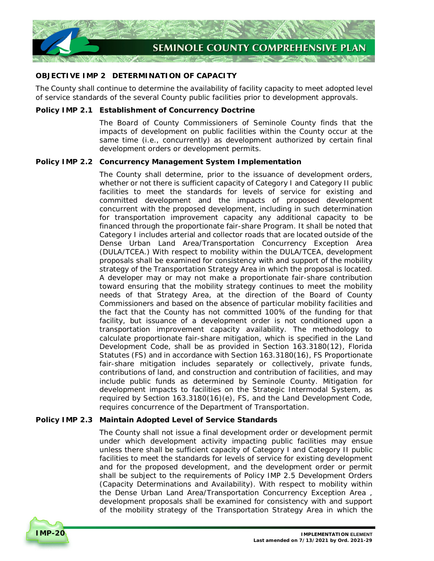

#### **OBJECTIVE IMP 2 DETERMINATION OF CAPACITY**

 The County shall continue to determine the availability of facility capacity to meet adopted level of service standards of the several County public facilities prior to development approvals.

#### **Policy IMP 2.1 Establishment of Concurrency Doctrine**

 The Board of County Commissioners of Seminole County finds that the impacts of development on public facilities within the County occur at the same time (i.e., concurrently) as development authorized by certain final development orders or development permits.

#### **Policy IMP 2.2 Concurrency Management System Implementation**

 The County shall determine, prior to the issuance of development orders, whether or not there is sufficient capacity of Category I and Category II public facilities to meet the standards for levels of service for existing and committed development and the impacts of proposed development concurrent with the proposed development, including in such determination for transportation improvement capacity any additional capacity to be financed through the proportionate fair-share Program. It shall be noted that Category I includes arterial and collector roads that are located outside of the Dense Urban Land Area/Transportation Concurrency Exception Area (DULA/TCEA.) With respect to mobility within the DULA/TCEA, development proposals shall be examined for consistency with and support of the mobility strategy of the Transportation Strategy Area in which the proposal is located. A developer may or may not make a proportionate fair-share contribution toward ensuring that the mobility strategy continues to meet the mobility needs of that Strategy Area, at the direction of the Board of County Commissioners and based on the absence of particular mobility facilities and the fact that the County has not committed 100% of the funding for that facility, but issuance of a development order is not conditioned upon a transportation improvement capacity availability. The methodology to calculate proportionate fair-share mitigation, which is specified in the Land Development Code, shall be as provided in Section 163.3180(12), Florida Statutes (FS) and in accordance with Section 163.3180(16), FS Proportionate fair-share mitigation includes separately or collectively, private funds, contributions of land, and construction and contribution of facilities, and may include public funds as determined by Seminole County. Mitigation for development impacts to facilities on the Strategic Intermodal System, as required by Section 163.3180(16)(e), FS, and the Land Development Code, requires concurrence of the Department of Transportation.

#### **Policy IMP 2.3 Maintain Adopted Level of Service Standards**

 The County shall not issue a final development order or development permit under which development activity impacting public facilities may ensue unless there shall be sufficient capacity of Category I and Category II public facilities to meet the standards for levels of service for existing development and for the proposed development, and the development order or permit shall be subject to the requirements of *Policy IMP 2.5 Development Orders (Capacity Determinations and Availability)*. With respect to mobility within the Dense Urban Land Area/Transportation Concurrency Exception Area , development proposals shall be examined for consistency with and support of the mobility strategy of the Transportation Strategy Area in which the

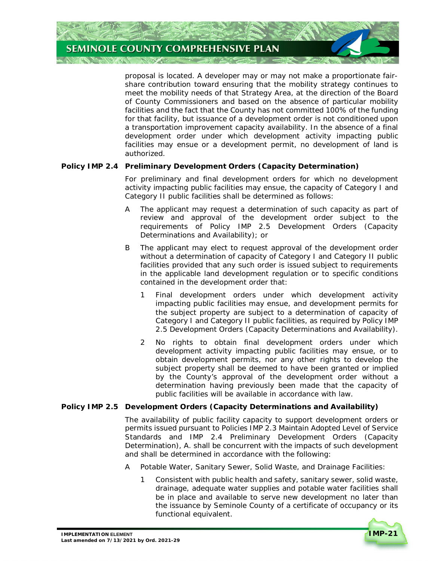

 proposal is located. A developer may or may not make a proportionate fair- share contribution toward ensuring that the mobility strategy continues to meet the mobility needs of that Strategy Area, at the direction of the Board of County Commissioners and based on the absence of particular mobility facilities and the fact that the County has not committed 100% of the funding for that facility, but issuance of a development order is not conditioned upon a transportation improvement capacity availability. In the absence of a final development order under which development activity impacting public facilities may ensue or a development permit, no development of land is authorized.

#### **Policy IMP 2.4 Preliminary Development Orders (Capacity Determination)**

 For preliminary and final development orders for which no development activity impacting public facilities may ensue, the capacity of Category I and Category II public facilities shall be determined as follows:

- A The applicant may request a determination of such capacity as part of review and approval of the development order subject to the requirements of *Policy IMP 2.5 Development Orders (Capacity Determinations and Availability)*; or
- B The applicant may elect to request approval of the development order without a determination of capacity of Category I and Category II public facilities provided that any such order is issued subject to requirements in the applicable land development regulation or to specific conditions contained in the development order that:
	- 1 Final development orders under which development activity impacting public facilities may ensue, and development permits for the subject property are subject to a determination of capacity of Category I and Category II public facilities, as required by *Policy IMP 2.5 Development Orders (Capacity Determinations and Availability)*.
	- 2 No rights to obtain final development orders under which development activity impacting public facilities may ensue, or to obtain development permits, nor any other rights to develop the subject property shall be deemed to have been granted or implied by the County's approval of the development order without a determination having previously been made that the capacity of public facilities will be available in accordance with law.

#### **Policy IMP 2.5 Development Orders (Capacity Determinations and Availability)**

 The availability of public facility capacity to support development orders or permits issued pursuant to *Policies IMP 2.3 Maintain Adopted Level of Service Standards* and *IMP 2.4 Preliminary Development Orders (Capacity Determination)*, A. shall be concurrent with the impacts of such development and shall be determined in accordance with the following:

- A Potable Water, Sanitary Sewer, Solid Waste, and Drainage Facilities:
	- 1 Consistent with public health and safety, sanitary sewer, solid waste, drainage, adequate water supplies and potable water facilities shall be in place and available to serve new development no later than the issuance by Seminole County of a certificate of occupancy or its functional equivalent.

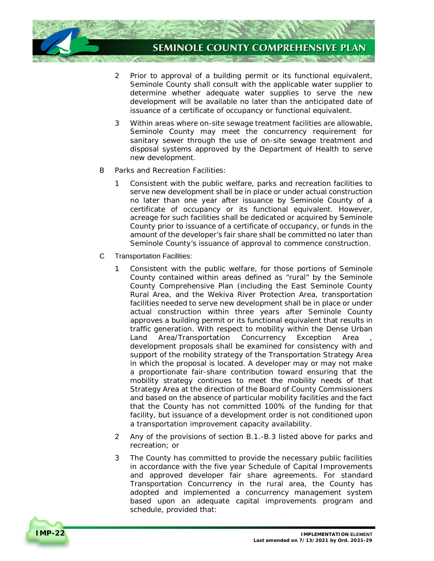

- 2 Prior to approval of a building permit or its functional equivalent, Seminole County shall consult with the applicable water supplier to determine whether adequate water supplies to serve the new development will be available no later than the anticipated date of issuance of a certificate of occupancy or functional equivalent.
- 3 Within areas where on-site sewage treatment facilities are allowable, Seminole County may meet the concurrency requirement for sanitary sewer through the use of on-site sewage treatment and disposal systems approved by the Department of Health to serve new development.
- new development.<br>B Parks and Recreation Facilities:
	- 1 Consistent with the public welfare, parks and recreation facilities to serve new development shall be in place or under actual construction no later than one year after issuance by Seminole County of a certificate of occupancy or its functional equivalent. However, acreage for such facilities shall be dedicated or acquired by Seminole County prior to issuance of a certificate of occupancy, or funds in the amount of the developer's fair share shall be committed no later than Seminole County's issuance of approval to commence construction.
- C Transportation Facilities:
	- 1 Consistent with the public welfare, for those portions of Seminole County contained within areas defined as "rural" by the Seminole County Comprehensive Plan (including the East Seminole County Rural Area, and the Wekiva River Protection Area, transportation facilities needed to serve new development shall be in place or under actual construction within three years after Seminole County approves a building permit or its functional equivalent that results in traffic generation. With respect to mobility within the Dense Urban Land Area/Transportation Concurrency Exception Area , development proposals shall be examined for consistency with and support of the mobility strategy of the Transportation Strategy Area in which the proposal is located. A developer may or may not make a proportionate fair-share contribution toward ensuring that the mobility strategy continues to meet the mobility needs of that Strategy Area at the direction of the Board of County Commissioners and based on the absence of particular mobility facilities and the fact that the County has not committed 100% of the funding for that facility, but issuance of a development order is not conditioned upon a transportation improvement capacity availability.
	- 2 Any of the provisions of section B.1.-B.3 listed above for parks and recreation; or
	- 3 The County has committed to provide the necessary public facilities in accordance with the five year Schedule of Capital Improvements and approved developer fair share agreements. For standard Transportation Concurrency in the rural area, the County has adopted and implemented a concurrency management system based upon an adequate capital improvements program and schedule, provided that:

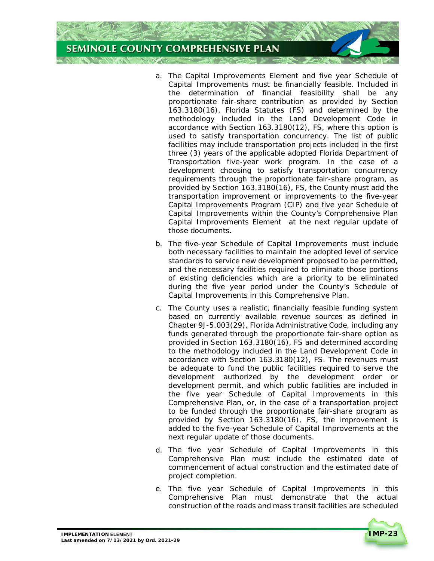# **SEMINOLE COUNTY COMPREHENSIVE PLAN**

- a. The Capital Improvements Element and five year Schedule of Capital Improvements must be financially feasible. Included in the determination of financial feasibility shall be any proportionate fair-share contribution as provided by Section 163.3180(16), Florida Statutes (FS) and determined by the methodology included in the Land Development Code in accordance with Section 163.3180(12), FS, where this option is used to satisfy transportation concurrency. The list of public facilities may include transportation projects included in the first three (3) years of the applicable adopted Florida Department of Transportation five-year work program. In the case of a development choosing to satisfy transportation concurrency requirements through the proportionate fair-share program, as provided by Section 163.3180(16), FS, the County must add the transportation improvement or improvements to the five-year Capital Improvements Program (CIP) and five year Schedule of Capital Improvements within the County's Comprehensive Plan Capital Improvements Element at the next regular update of those documents.
- b. The five-year Schedule of Capital Improvements must include both necessary facilities to maintain the adopted level of service standards to service new development proposed to be permitted, and the necessary facilities required to eliminate those portions of existing deficiencies which are a priority to be eliminated during the five year period under the County's Schedule of Capital Improvements in this Comprehensive Plan.
- c. The County uses a realistic, financially feasible funding system based on currently available revenue sources as defined in Chapter 9J-5.003(29), Florida Administrative Code, including any funds generated through the proportionate fair-share option as provided in Section 163.3180(16), FS and determined according to the methodology included in the Land Development Code in accordance with Section 163.3180(12), FS. The revenues must be adequate to fund the public facilities required to serve the development authorized by the development order or development permit, and which public facilities are included in the five year Schedule of Capital Improvements in this Comprehensive Plan, or, in the case of a transportation project to be funded through the proportionate fair-share program as provided by Section 163.3180(16), FS, the improvement is added to the five-year Schedule of Capital Improvements at the next regular update of those documents.
- d. The five year Schedule of Capital Improvements in this Comprehensive Plan must include the estimated date of commencement of actual construction and the estimated date of project completion.
- e. The five year Schedule of Capital Improvements in this Comprehensive Plan must demonstrate that the actual construction of the roads and mass transit facilities are scheduled

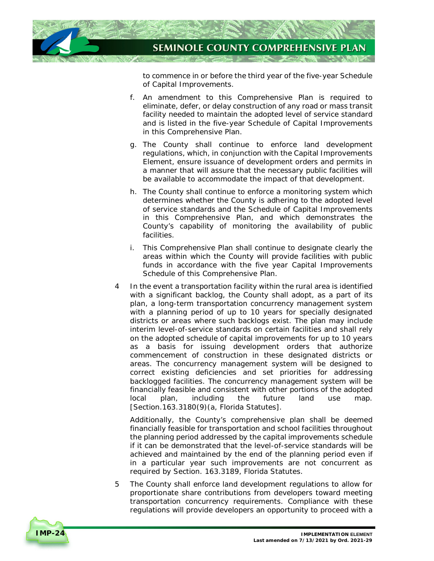

 to commence in or before the third year of the five-year Schedule of Capital Improvements.

- f. An amendment to this Comprehensive Plan is required to eliminate, defer, or delay construction of any road or mass transit facility needed to maintain the adopted level of service standard and is listed in the five-year Schedule of Capital Improvements in this Comprehensive Plan.
- g. The County shall continue to enforce land development regulations, which, in conjunction with the Capital Improvements Element, ensure issuance of development orders and permits in a manner that will assure that the necessary public facilities will be available to accommodate the impact of that development.
- h. The County shall continue to enforce a monitoring system which determines whether the County is adhering to the adopted level of service standards and the Schedule of Capital Improvements in this Comprehensive Plan, and which demonstrates the County's capability of monitoring the availability of public facilities.
- i. This Comprehensive Plan shall continue to designate clearly the areas within which the County will provide facilities with public funds in accordance with the five year Capital Improvements Schedule of this Comprehensive Plan.
- In the event a transportation facility within the rural area is identified with a significant backlog, the County shall adopt, as a part of its plan, a long-term transportation concurrency management system with a planning period of up to 10 years for specially designated districts or areas where such backlogs exist. The plan may include interim level-of-service standards on certain facilities and shall rely on the adopted schedule of capital improvements for up to 10 years as a basis for issuing development orders that authorize commencement of construction in these designated districts or areas. The concurrency management system will be designed to correct existing deficiencies and set priorities for addressing backlogged facilities. The concurrency management system will be financially feasible and consistent with other portions of the adopted local [Section.163.3180(9)(a, Florida Statutes]. 4 plan, including the future land use map.

 Additionally, the County's comprehensive plan shall be deemed financially feasible for transportation and school facilities throughout the planning period addressed by the capital improvements schedule if it can be demonstrated that the level-of-service standards will be achieved and maintained by the end of the planning period even if in a particular year such improvements are not concurrent as required by Section. 163.3189, Florida Statutes.

 The County shall enforce land development regulations to allow for proportionate share contributions from developers toward meeting transportation concurrency requirements. Compliance with these regulations will provide developers an opportunity to proceed with a 5

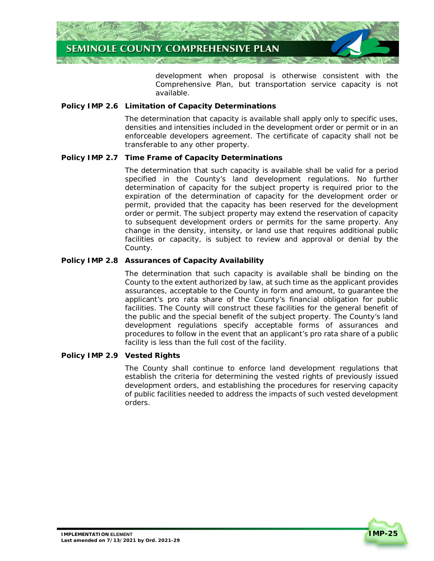

 development when proposal is otherwise consistent with the Comprehensive Plan, but transportation service capacity is not available.

#### **Policy IMP 2.6 Limitation of Capacity Determinations**

 The determination that capacity is available shall apply only to specific uses, densities and intensities included in the development order or permit or in an enforceable developers agreement. The certificate of capacity shall not be transferable to any other property.

#### **Policy IMP 2.7 Time Frame of Capacity Determinations**

 The determination that such capacity is available shall be valid for a period specified in the County's land development regulations. No further determination of capacity for the subject property is required prior to the expiration of the determination of capacity for the development order or permit, provided that the capacity has been reserved for the development order or permit. The subject property may extend the reservation of capacity to subsequent development orders or permits for the same property. Any change in the density, intensity, or land use that requires additional public facilities or capacity, is subject to review and approval or denial by the County.

#### **Policy IMP 2.8 Assurances of Capacity Availability**

 The determination that such capacity is available shall be binding on the County to the extent authorized by law, at such time as the applicant provides assurances, acceptable to the County in form and amount, to guarantee the applicant's pro rata share of the County's financial obligation for public facilities. The County will construct these facilities for the general benefit of the public and the special benefit of the subject property. The County's land development regulations specify acceptable forms of assurances and procedures to follow in the event that an applicant's pro rata share of a public facility is less than the full cost of the facility.

#### **Policy IMP 2.9 Vested Rights**

 The County shall continue to enforce land development regulations that establish the criteria for determining the vested rights of previously issued development orders, and establishing the procedures for reserving capacity of public facilities needed to address the impacts of such vested development orders.